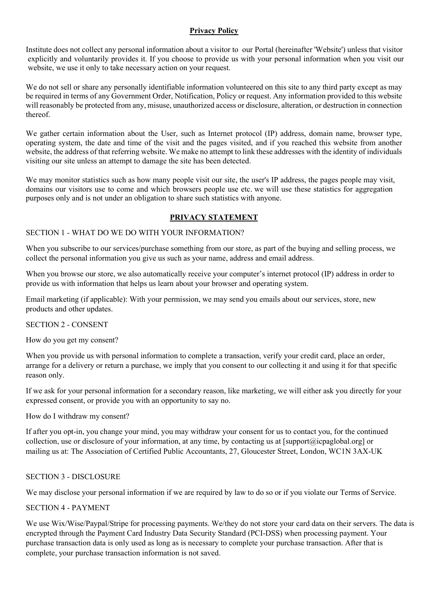#### Privacy Policy

Institute does not collect any personal information about a visitor to our Portal (hereinafter 'Website') unless that visitor explicitly and voluntarily provides it. If you choose to provide us with your personal information when you visit our website, we use it only to take necessary action on your request.

We do not sell or share any personally identifiable information volunteered on this site to any third party except as may be required in terms of any Government Order, Notification, Policy or request. Any information provided to this website will reasonably be protected from any, misuse, unauthorized access or disclosure, alteration, or destruction in connection thereof.

We gather certain information about the User, such as Internet protocol (IP) address, domain name, browser type, operating system, the date and time of the visit and the pages visited, and if you reached this website from another website, the address of that referring website. We make no attempt to link these addresses with the identity of individuals visiting our site unless an attempt to damage the site has been detected.

We may monitor statistics such as how many people visit our site, the user's IP address, the pages people may visit, domains our visitors use to come and which browsers people use etc. we will use these statistics for aggregation purposes only and is not under an obligation to share such statistics with anyone.

# PRIVACY STATEMENT

### SECTION 1 - WHAT DO WE DO WITH YOUR INFORMATION?

When you subscribe to our services/purchase something from our store, as part of the buying and selling process, we collect the personal information you give us such as your name, address and email address.

When you browse our store, we also automatically receive your computer's internet protocol (IP) address in order to provide us with information that helps us learn about your browser and operating system.

Email marketing (if applicable): With your permission, we may send you emails about our services, store, new products and other updates.

#### SECTION 2 - CONSENT

How do you get my consent?

When you provide us with personal information to complete a transaction, verify your credit card, place an order, arrange for a delivery or return a purchase, we imply that you consent to our collecting it and using it for that specific reason only.

If we ask for your personal information for a secondary reason, like marketing, we will either ask you directly for your expressed consent, or provide you with an opportunity to say no.

How do I withdraw my consent?

If after you opt-in, you change your mind, you may withdraw your consent for us to contact you, for the continued collection, use or disclosure of your information, at any time, by contacting us at [support@icpaglobal.org] or mailing us at: The Association of Certified Public Accountants, 27, Gloucester Street, London, WC1N 3AX-UK

## SECTION 3 - DISCLOSURE

We may disclose your personal information if we are required by law to do so or if you violate our Terms of Service.

#### SECTION 4 - PAYMENT

encrypted through the Payment Card Industry Data Security Standard (PCI-DSS) when processing payment. Your purchase transaction data is only used as long as is necessary to complete your purchase transaction. After that is complete, your purchase transaction information is not saved. We use Wix/Wise/Paypal/Stripe for processing payments. We/they do not store your card data on their servers. The data is